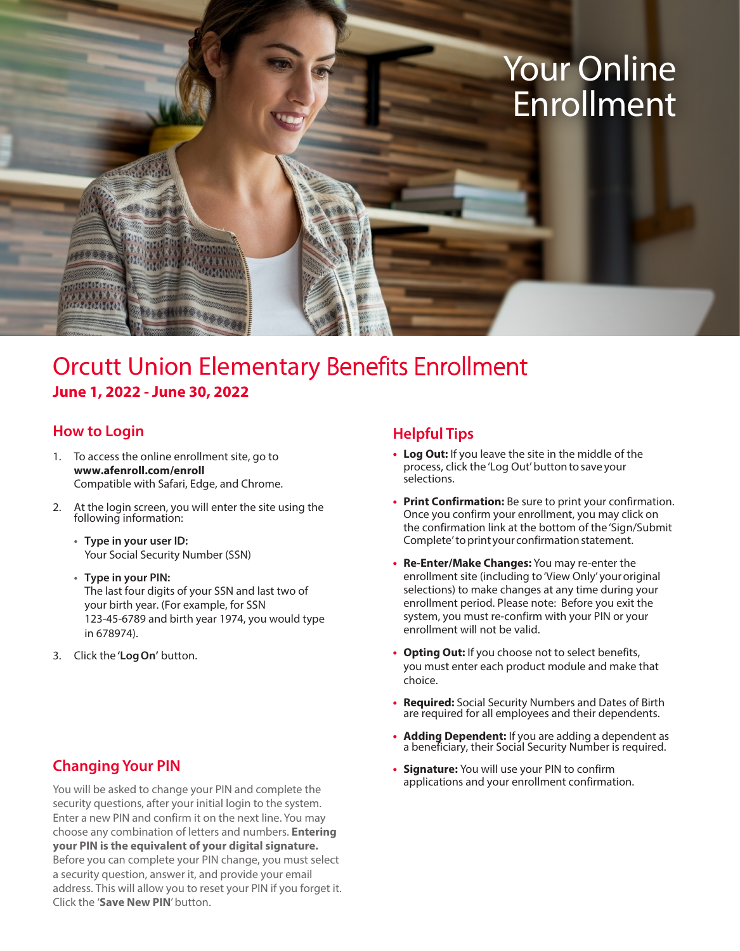# Your Online Enrollment

### Orcutt Union Elementary Benefits Enrollment **June 1, 2022 - June 30, 2022**

#### **How to Login**

**CARARANAY** 

- 1. To access the online enrollment site, go to **www.afenroll.com/enroll** Compatible with Safari, Edge, and Chrome.
- 2. At the login screen, you will enter the site using the following information:
	- **• Type in your user ID:** Your Social Security Number (SSN)
	- **• Type in your PIN:** The last four digits of your SSN and last two of your birth year. (For example, for SSN 123-45-6789 and birth year 1974, you would type in 678974).
- 3. Click the **'Log On'** button.

#### **Changing Your PIN**

You will be asked to change your PIN and complete the security questions, after your initial login to the system. Enter a new PIN and confirm it on the next line. You may choose any combination of letters and numbers. **Entering your PIN is the equivalent of your digital signature.** Before you can complete your PIN change, you must select a security question, answer it, and provide your email address. This will allow you to reset your PIN if you forget it. Click the '**Save New PIN**' button.

#### **Helpful Tips**

- **• Log Out:** If you leave the site in the middle of the process, click the 'Log Out' button to save your selections.
- **• Print Confirmation:** Be sure to print your confirmation. Once you confirm your enrollment, you may click on the confirmation link at the bottom of the 'Sign/Submit Complete' to print your confirmation statement.
- **• Re-Enter/Make Changes:** You may re-enter the enrollment site (including to 'View Only' your original selections) to make changes at any time during your enrollment period. Please note: Before you exit the system, you must re-confirm with your PIN or your enrollment will not be valid.
- **• Opting Out:** If you choose not to select benefits, you must enter each product module and make that choice.
- **• Required:** Social Security Numbers and Dates of Birth are required for all employees and their dependents.
- **• Adding Dependent:** If you are adding a dependent as a beneficiary, their Social Security Number is required.
- **• Signature:** You will use your PIN to confirm applications and your enrollment confirmation.